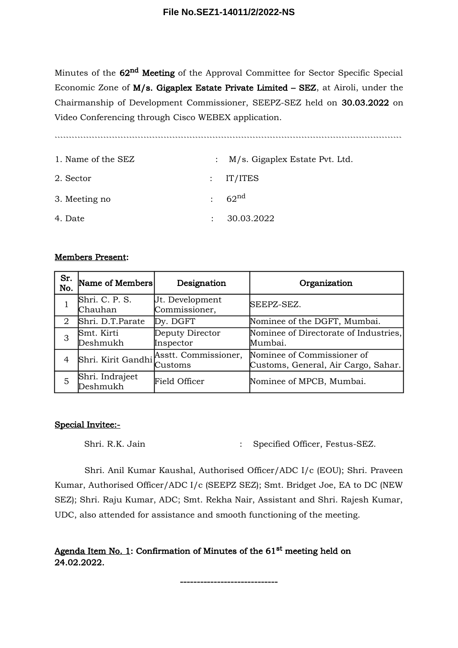Minutes of the 62<sup>nd</sup> Meeting of the Approval Committee for Sector Specific Special Economic Zone of M/s. Gigaplex Estate Private Limited – SEZ, at Airoli, under the Chairmanship of Development Commissioner, SEEPZ-SEZ held on 30.03.2022 on Video Conferencing through Cisco WEBEX application.

`````````````````````````````````````````````````````````````````````````````````````````````````````````````````````````

| 1. Name of the SEZ | : M/s. Gigaplex Estate Pvt. Ltd. |
|--------------------|----------------------------------|
| 2. Sector          | $:$ IT/ITES                      |
| 3. Meeting no      | : 62 <sup>nd</sup>               |
| 4. Date            | 30.03.2022                       |

## Members Present:

| Sr.<br>No. | Name of Members             | Designation                             | Organization                                                      |
|------------|-----------------------------|-----------------------------------------|-------------------------------------------------------------------|
|            | Shri. C. P. S.<br>Chauhan   | Jt. Development<br>Commissioner,        | SEEPZ-SEZ.                                                        |
| 2          | Shri. D.T.Parate            | Dy. DGFT                                | Nominee of the DGFT, Mumbai.                                      |
| 3          | Smt. Kirti<br>Deshmukh      | Deputy Director<br>Inspector            | Nominee of Directorate of Industries,<br>Mumbai.                  |
| 4          |                             | Shri. Kirit Gandhi Asstt. Commissioner, | Nominee of Commissioner of<br>Customs, General, Air Cargo, Sahar. |
| 5          | Shri. Indrajeet<br>Deshmukh | Field Officer                           | Nominee of MPCB, Mumbai.                                          |

## Special Invitee:-

Shri. R.K. Jain : Specified Officer, Festus-SEZ.

Shri. Anil Kumar Kaushal, Authorised Officer/ADC I/c (EOU); Shri. Praveen Kumar, Authorised Officer/ADC I/c (SEEPZ SEZ); Smt. Bridget Joe, EA to DC (NEW SEZ); Shri. Raju Kumar, ADC; Smt. Rekha Nair, Assistant and Shri. Rajesh Kumar, UDC, also attended for assistance and smooth functioning of the meeting.

## Agenda Item No. 1: Confirmation of Minutes of the  $61<sup>st</sup>$  meeting held on 24.02.2022.

-----------------------------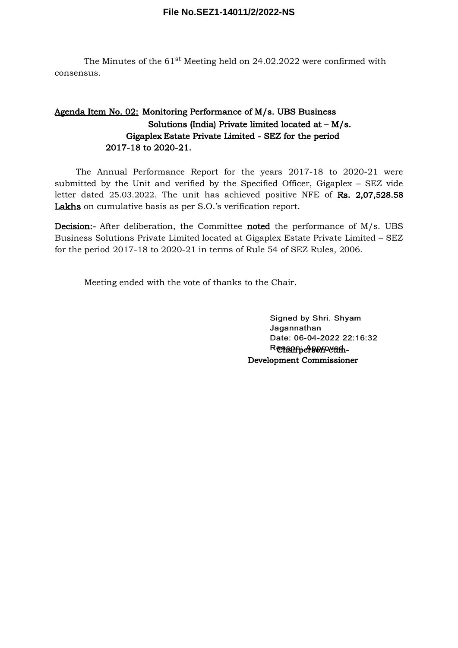The Minutes of the  $61<sup>st</sup>$  Meeting held on 24.02.2022 were confirmed with consensus.

## Agenda Item No. 02: Monitoring Performance of M/s. UBS Business Solutions (India) Private limited located at – M/s. Gigaplex Estate Private Limited - SEZ for the period 2017-18 to 2020-21.

The Annual Performance Report for the years 2017-18 to 2020-21 were submitted by the Unit and verified by the Specified Officer, Gigaplex – SEZ vide letter dated 25.03.2022. The unit has achieved positive NFE of Rs. 2,07,528.58 Lakhs on cumulative basis as per S.O.'s verification report.

Decision:- After deliberation, the Committee noted the performance of M/s. UBS Business Solutions Private Limited located at Gigaplex Estate Private Limited – SEZ for the period 2017-18 to 2020-21 in terms of Rule 54 of SEZ Rules, 2006.

Meeting ended with the vote of thanks to the Chair.

Signed by Shri. Shyam Jagannathan Date: 06-04-2022 22:16:32 Renamiersonovam-Development Commissioner